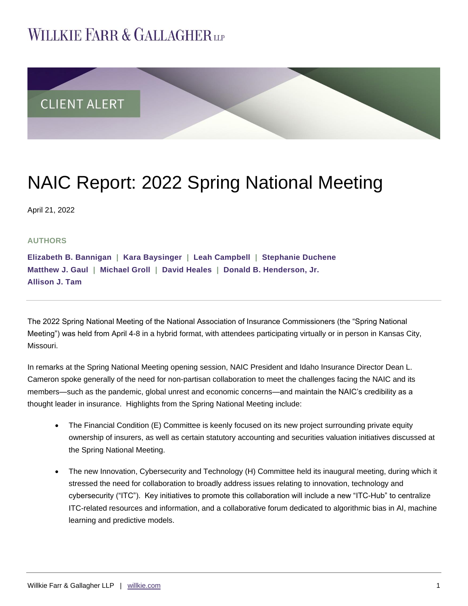## WILLKIE FARR & GALLAGHER



# NAIC Report: 2022 Spring National Meeting

April 21, 2022

#### **AUTHORS**

**[Elizabeth B. Bannigan](https://www.willkie.com/professionals/b/bannigan-elizabeth-b) | [Kara Baysinger](https://www.willkie.com/professionals/b/baysinger-kara) | [Leah Campbell](https://www.willkie.com/professionals/c/campbell-leah) | [Stephanie Duchene](https://www.willkie.com/professionals/d/duchene-stephanie) [Matthew J. Gaul](https://www.willkie.com/professionals/g/gaul-matthew) | [Michael Groll](https://www.willkie.com/professionals/g/groll-michael) | [David Heales](https://www.willkie.com/professionals/h/heales-david) | [Donald B. Henderson, Jr.](https://www.willkie.com/professionals/h/henderson-jr-donald) [Allison J. Tam](https://www.willkie.com/professionals/t/tam-allison-j)**

The 2022 Spring National Meeting of the National Association of Insurance Commissioners (the "Spring National Meeting") was held from April 4-8 in a hybrid format, with attendees participating virtually or in person in Kansas City, Missouri.

In remarks at the Spring National Meeting opening session, NAIC President and Idaho Insurance Director Dean L. Cameron spoke generally of the need for non-partisan collaboration to meet the challenges facing the NAIC and its members—such as the pandemic, global unrest and economic concerns—and maintain the NAIC's credibility as a thought leader in insurance. Highlights from the Spring National Meeting include:

- The Financial Condition (E) Committee is keenly focused on its new project surrounding private equity ownership of insurers, as well as certain statutory accounting and securities valuation initiatives discussed at the Spring National Meeting.
- The new Innovation, Cybersecurity and Technology (H) Committee held its inaugural meeting, during which it stressed the need for collaboration to broadly address issues relating to innovation, technology and cybersecurity ("ITC"). Key initiatives to promote this collaboration will include a new "ITC-Hub" to centralize ITC-related resources and information, and a collaborative forum dedicated to algorithmic bias in AI, machine learning and predictive models.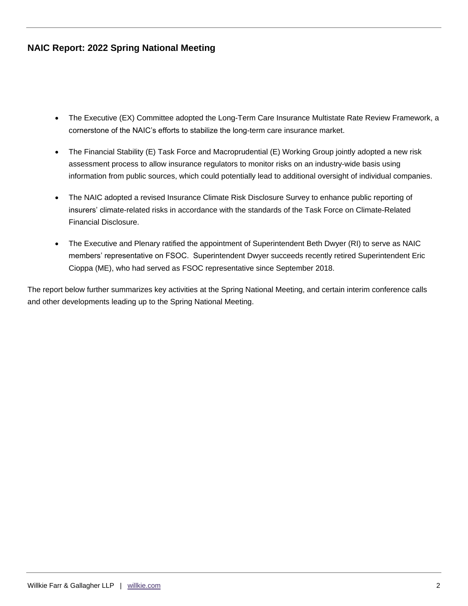- The Executive (EX) Committee adopted the Long-Term Care Insurance Multistate Rate Review Framework, a cornerstone of the NAIC's efforts to stabilize the long-term care insurance market.
- The Financial Stability (E) Task Force and Macroprudential (E) Working Group jointly adopted a new risk assessment process to allow insurance regulators to monitor risks on an industry-wide basis using information from public sources, which could potentially lead to additional oversight of individual companies.
- The NAIC adopted a revised Insurance Climate Risk Disclosure Survey to enhance public reporting of insurers' climate-related risks in accordance with the standards of the Task Force on Climate-Related Financial Disclosure.
- The Executive and Plenary ratified the appointment of Superintendent Beth Dwyer (RI) to serve as NAIC members' representative on FSOC. Superintendent Dwyer succeeds recently retired Superintendent Eric Cioppa (ME), who had served as FSOC representative since September 2018.

The report below further summarizes key activities at the Spring National Meeting, and certain interim conference calls and other developments leading up to the Spring National Meeting.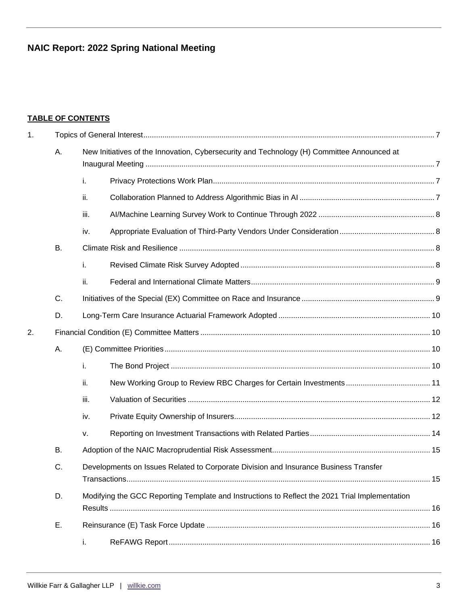## **TABLE OF CONTENTS**

| 1. |           |                                                                                                |  |  |  |  |
|----|-----------|------------------------------------------------------------------------------------------------|--|--|--|--|
|    | Α.        | New Initiatives of the Innovation, Cybersecurity and Technology (H) Committee Announced at     |  |  |  |  |
|    |           | i.                                                                                             |  |  |  |  |
|    |           | ii.                                                                                            |  |  |  |  |
|    |           | iii.                                                                                           |  |  |  |  |
|    |           | iv.                                                                                            |  |  |  |  |
|    | <b>B.</b> |                                                                                                |  |  |  |  |
|    |           | i.                                                                                             |  |  |  |  |
|    |           | ii.                                                                                            |  |  |  |  |
|    | C.        |                                                                                                |  |  |  |  |
|    | D.        |                                                                                                |  |  |  |  |
| 2. |           |                                                                                                |  |  |  |  |
|    | А.        |                                                                                                |  |  |  |  |
|    |           | i.                                                                                             |  |  |  |  |
|    |           | ii.                                                                                            |  |  |  |  |
|    |           | iii.                                                                                           |  |  |  |  |
|    |           | iv.                                                                                            |  |  |  |  |
|    |           | v.                                                                                             |  |  |  |  |
|    | Β.        |                                                                                                |  |  |  |  |
|    | C.        | Developments on Issues Related to Corporate Division and Insurance Business Transfer           |  |  |  |  |
|    | D.        | Modifying the GCC Reporting Template and Instructions to Reflect the 2021 Trial Implementation |  |  |  |  |
|    | Ε.        |                                                                                                |  |  |  |  |
|    |           | i.                                                                                             |  |  |  |  |
|    |           |                                                                                                |  |  |  |  |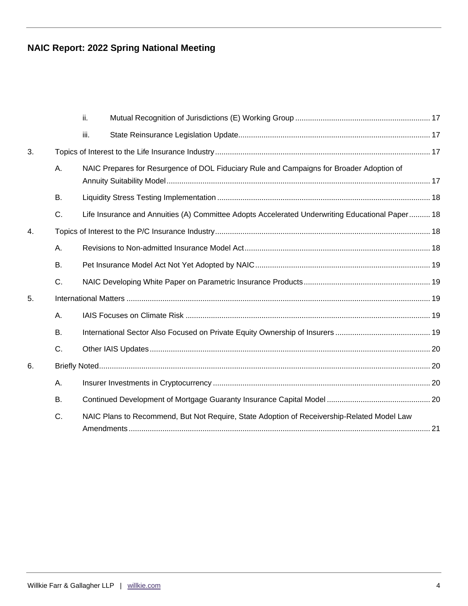|    |           | ii.                                                                                      |                                                                                                 |  |  |  |
|----|-----------|------------------------------------------------------------------------------------------|-------------------------------------------------------------------------------------------------|--|--|--|
|    |           | iii.                                                                                     |                                                                                                 |  |  |  |
| 3. |           |                                                                                          |                                                                                                 |  |  |  |
|    | Α.        | NAIC Prepares for Resurgence of DOL Fiduciary Rule and Campaigns for Broader Adoption of |                                                                                                 |  |  |  |
|    | <b>B.</b> |                                                                                          |                                                                                                 |  |  |  |
|    | C.        |                                                                                          | Life Insurance and Annuities (A) Committee Adopts Accelerated Underwriting Educational Paper 18 |  |  |  |
| 4. |           |                                                                                          |                                                                                                 |  |  |  |
|    | Α.        |                                                                                          |                                                                                                 |  |  |  |
|    | B.        |                                                                                          |                                                                                                 |  |  |  |
|    | C.        |                                                                                          |                                                                                                 |  |  |  |
| 5. |           |                                                                                          |                                                                                                 |  |  |  |
|    | А.        |                                                                                          |                                                                                                 |  |  |  |
|    | <b>B.</b> |                                                                                          |                                                                                                 |  |  |  |
|    | C.        |                                                                                          |                                                                                                 |  |  |  |
| 6. |           |                                                                                          |                                                                                                 |  |  |  |
|    | Α.        |                                                                                          |                                                                                                 |  |  |  |
|    | <b>B.</b> |                                                                                          |                                                                                                 |  |  |  |
|    | C.        |                                                                                          | NAIC Plans to Recommend, But Not Require, State Adoption of Receivership-Related Model Law      |  |  |  |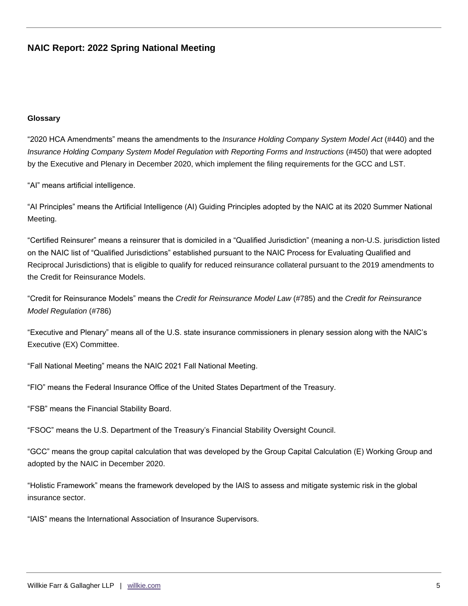#### **Glossary**

"2020 HCA Amendments" means the amendments to the *Insurance Holding Company System Model Act* (#440) and the *Insurance Holding Company System Model Regulation with Reporting Forms and Instructions* (#450) that were adopted by the Executive and Plenary in December 2020, which implement the filing requirements for the GCC and LST.

"AI" means artificial intelligence.

"AI Principles" means the Artificial Intelligence (AI) Guiding Principles adopted by the NAIC at its 2020 Summer National Meeting.

"Certified Reinsurer" means a reinsurer that is domiciled in a "Qualified Jurisdiction" (meaning a non-U.S. jurisdiction listed on the NAIC list of "Qualified Jurisdictions" established pursuant to the NAIC Process for Evaluating Qualified and Reciprocal Jurisdictions) that is eligible to qualify for reduced reinsurance collateral pursuant to the 2019 amendments to the Credit for Reinsurance Models.

"Credit for Reinsurance Models" means the *Credit for Reinsurance Model Law* (#785) and the *Credit for Reinsurance Model Regulation* (#786)

"Executive and Plenary" means all of the U.S. state insurance commissioners in plenary session along with the NAIC's Executive (EX) Committee.

"Fall National Meeting" means the NAIC 2021 Fall National Meeting.

"FIO" means the Federal Insurance Office of the United States Department of the Treasury.

"FSB" means the Financial Stability Board.

"FSOC" means the U.S. Department of the Treasury's Financial Stability Oversight Council.

"GCC" means the group capital calculation that was developed by the Group Capital Calculation (E) Working Group and adopted by the NAIC in December 2020.

"Holistic Framework" means the framework developed by the IAIS to assess and mitigate systemic risk in the global insurance sector.

"IAIS" means the International Association of Insurance Supervisors.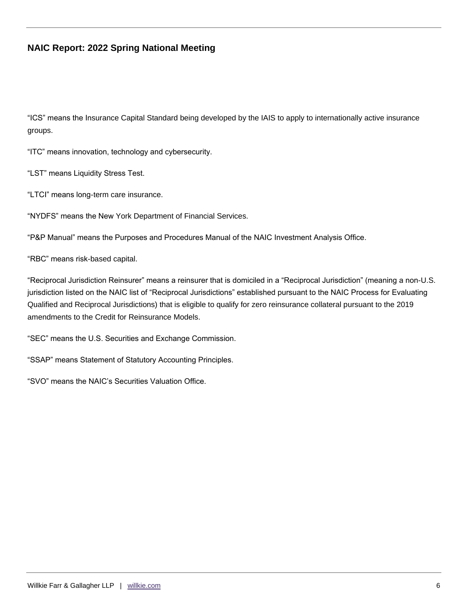"ICS" means the Insurance Capital Standard being developed by the IAIS to apply to internationally active insurance groups.

"ITC" means innovation, technology and cybersecurity.

"LST" means Liquidity Stress Test.

"LTCI" means long-term care insurance.

"NYDFS" means the New York Department of Financial Services.

"P&P Manual" means the Purposes and Procedures Manual of the NAIC Investment Analysis Office.

"RBC" means risk-based capital.

"Reciprocal Jurisdiction Reinsurer" means a reinsurer that is domiciled in a "Reciprocal Jurisdiction" (meaning a non-U.S. jurisdiction listed on the NAIC list of "Reciprocal Jurisdictions" established pursuant to the NAIC Process for Evaluating Qualified and Reciprocal Jurisdictions) that is eligible to qualify for zero reinsurance collateral pursuant to the 2019 amendments to the Credit for Reinsurance Models.

"SEC" means the U.S. Securities and Exchange Commission.

"SSAP" means Statement of Statutory Accounting Principles.

"SVO" means the NAIC's Securities Valuation Office.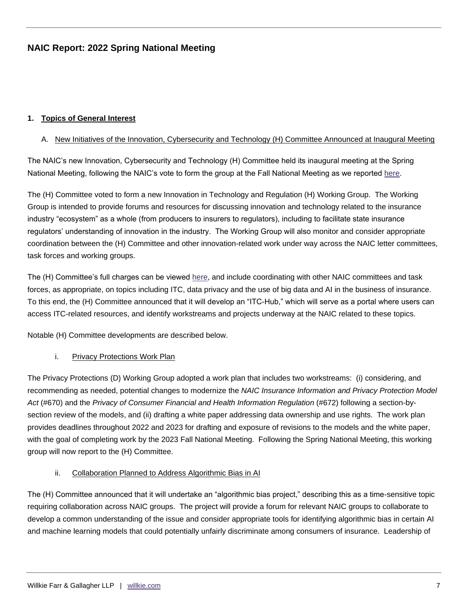#### <span id="page-6-0"></span>**1. Topics of General Interest**

#### <span id="page-6-1"></span>A. New Initiatives of the Innovation, Cybersecurity and Technology (H) Committee Announced at Inaugural Meeting

The NAIC's new Innovation, Cybersecurity and Technology (H) Committee held its inaugural meeting at the Spring National Meeting, following the NAIC's vote to form the group at the Fall National Meeting as we reported [here.](https://www.willkie.com/-/media/files/publications/2021/12/naic_report_2021_fall_national_meeting.pdf)

The (H) Committee voted to form a new Innovation in Technology and Regulation (H) Working Group. The Working Group is intended to provide forums and resources for discussing innovation and technology related to the insurance industry "ecosystem" as a whole (from producers to insurers to regulators), including to facilitate state insurance regulators' understanding of innovation in the industry. The Working Group will also monitor and consider appropriate coordination between the (H) Committee and other innovation-related work under way across the NAIC letter committees, task forces and working groups.

The (H) Committee's full charges can be viewed [here,](https://content.naic.org/cmte_h.htm) and include coordinating with other NAIC committees and task forces, as appropriate, on topics including ITC, data privacy and the use of big data and AI in the business of insurance. To this end, the (H) Committee announced that it will develop an "ITC-Hub," which will serve as a portal where users can access ITC-related resources, and identify workstreams and projects underway at the NAIC related to these topics.

<span id="page-6-2"></span>Notable (H) Committee developments are described below.

#### i. Privacy Protections Work Plan

The Privacy Protections (D) Working Group adopted a work plan that includes two workstreams: (i) considering, and recommending as needed, potential changes to modernize the *NAIC Insurance Information and Privacy Protection Model Act* (#670) and the *Privacy of Consumer Financial and Health Information Regulation* (#672) following a section-bysection review of the models, and (ii) drafting a white paper addressing data ownership and use rights. The work plan provides deadlines throughout 2022 and 2023 for drafting and exposure of revisions to the models and the white paper, with the goal of completing work by the 2023 Fall National Meeting. Following the Spring National Meeting, this working group will now report to the (H) Committee.

#### ii. Collaboration Planned to Address Algorithmic Bias in AI

<span id="page-6-3"></span>The (H) Committee announced that it will undertake an "algorithmic bias project," describing this as a time-sensitive topic requiring collaboration across NAIC groups. The project will provide a forum for relevant NAIC groups to collaborate to develop a common understanding of the issue and consider appropriate tools for identifying algorithmic bias in certain AI and machine learning models that could potentially unfairly discriminate among consumers of insurance. Leadership of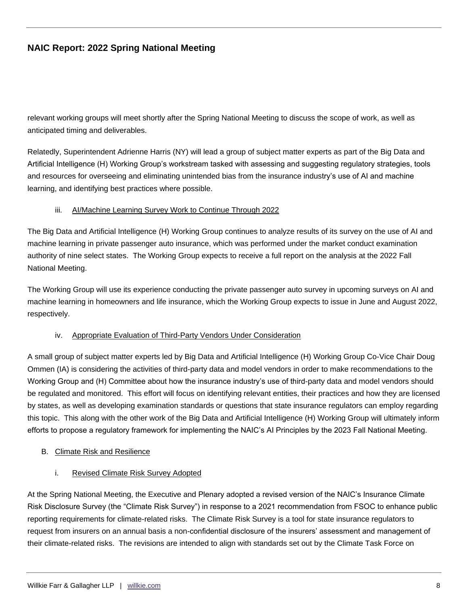relevant working groups will meet shortly after the Spring National Meeting to discuss the scope of work, as well as anticipated timing and deliverables.

Relatedly, Superintendent Adrienne Harris (NY) will lead a group of subject matter experts as part of the Big Data and Artificial Intelligence (H) Working Group's workstream tasked with assessing and suggesting regulatory strategies, tools and resources for overseeing and eliminating unintended bias from the insurance industry's use of AI and machine learning, and identifying best practices where possible.

#### iii. AI/Machine Learning Survey Work to Continue Through 2022

<span id="page-7-0"></span>The Big Data and Artificial Intelligence (H) Working Group continues to analyze results of its survey on the use of AI and machine learning in private passenger auto insurance, which was performed under the market conduct examination authority of nine select states. The Working Group expects to receive a full report on the analysis at the 2022 Fall National Meeting.

The Working Group will use its experience conducting the private passenger auto survey in upcoming surveys on AI and machine learning in homeowners and life insurance, which the Working Group expects to issue in June and August 2022, respectively.

#### iv. Appropriate Evaluation of Third-Party Vendors Under Consideration

<span id="page-7-1"></span>A small group of subject matter experts led by Big Data and Artificial Intelligence (H) Working Group Co-Vice Chair Doug Ommen (IA) is considering the activities of third-party data and model vendors in order to make recommendations to the Working Group and (H) Committee about how the insurance industry's use of third-party data and model vendors should be regulated and monitored. This effort will focus on identifying relevant entities, their practices and how they are licensed by states, as well as developing examination standards or questions that state insurance regulators can employ regarding this topic. This along with the other work of the Big Data and Artificial Intelligence (H) Working Group will ultimately inform efforts to propose a regulatory framework for implementing the NAIC's AI Principles by the 2023 Fall National Meeting.

#### <span id="page-7-3"></span><span id="page-7-2"></span>B. Climate Risk and Resilience

#### i. Revised Climate Risk Survey Adopted

At the Spring National Meeting, the Executive and Plenary adopted a revised version of the NAIC's Insurance Climate Risk Disclosure Survey (the "Climate Risk Survey") in response to a 2021 recommendation from FSOC to enhance public reporting requirements for climate-related risks. The Climate Risk Survey is a tool for state insurance regulators to request from insurers on an annual basis a non-confidential disclosure of the insurers' assessment and management of their climate-related risks. The revisions are intended to align with standards set out by the Climate Task Force on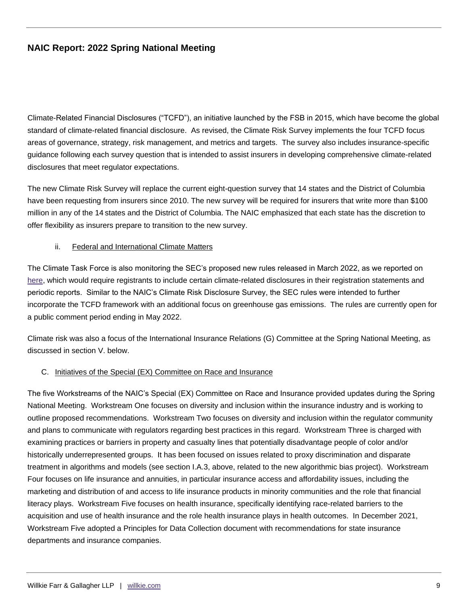Climate-Related Financial Disclosures ("TCFD"), an initiative launched by the FSB in 2015, which have become the global standard of climate-related financial disclosure. As revised, the Climate Risk Survey implements the four TCFD focus areas of governance, strategy, risk management, and metrics and targets. The survey also includes insurance-specific guidance following each survey question that is intended to assist insurers in developing comprehensive climate-related disclosures that meet regulator expectations.

The new Climate Risk Survey will replace the current eight-question survey that 14 states and the District of Columbia have been requesting from insurers since 2010. The new survey will be required for insurers that write more than \$100 million in any of the 14 states and the District of Columbia. The NAIC emphasized that each state has the discretion to offer flexibility as insurers prepare to transition to the new survey.

#### ii. Federal and International Climate Matters

<span id="page-8-0"></span>The Climate Task Force is also monitoring the SEC's proposed new rules released in March 2022, as we reported on [here,](https://www.willkie.com/-/media/files/publications/2022/sec_proposes_climate_disclosure_rules.pdf) which would require registrants to include certain climate-related disclosures in their registration statements and periodic reports. Similar to the NAIC's Climate Risk Disclosure Survey, the SEC rules were intended to further incorporate the TCFD framework with an additional focus on greenhouse gas emissions. The rules are currently open for a public comment period ending in May 2022.

Climate risk was also a focus of the International Insurance Relations (G) Committee at the Spring National Meeting, as discussed in section V. below.

#### <span id="page-8-1"></span>C. Initiatives of the Special (EX) Committee on Race and Insurance

The five Workstreams of the NAIC's Special (EX) Committee on Race and Insurance provided updates during the Spring National Meeting. Workstream One focuses on diversity and inclusion within the insurance industry and is working to outline proposed recommendations. Workstream Two focuses on diversity and inclusion within the regulator community and plans to communicate with regulators regarding best practices in this regard. Workstream Three is charged with examining practices or barriers in property and casualty lines that potentially disadvantage people of color and/or historically underrepresented groups. It has been focused on issues related to proxy discrimination and disparate treatment in algorithms and models (see section I.A.3, above, related to the new algorithmic bias project). Workstream Four focuses on life insurance and annuities, in particular insurance access and affordability issues, including the marketing and distribution of and access to life insurance products in minority communities and the role that financial literacy plays. Workstream Five focuses on health insurance, specifically identifying race-related barriers to the acquisition and use of health insurance and the role health insurance plays in health outcomes. In December 2021, Workstream Five adopted a Principles for Data Collection document with recommendations for state insurance departments and insurance companies.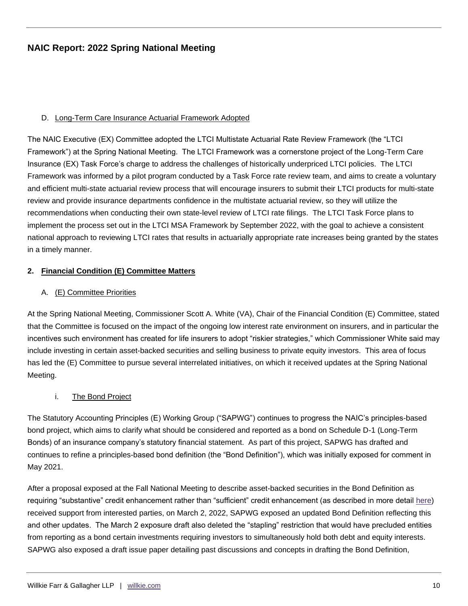#### <span id="page-9-0"></span>D. Long-Term Care Insurance Actuarial Framework Adopted

The NAIC Executive (EX) Committee adopted the LTCI Multistate Actuarial Rate Review Framework (the "LTCI Framework") at the Spring National Meeting. The LTCI Framework was a cornerstone project of the Long-Term Care Insurance (EX) Task Force's charge to address the challenges of historically underpriced LTCI policies. The LTCI Framework was informed by a pilot program conducted by a Task Force rate review team, and aims to create a voluntary and efficient multi-state actuarial review process that will encourage insurers to submit their LTCI products for multi-state review and provide insurance departments confidence in the multistate actuarial review, so they will utilize the recommendations when conducting their own state-level review of LTCI rate filings. The LTCI Task Force plans to implement the process set out in the LTCI MSA Framework by September 2022, with the goal to achieve a consistent national approach to reviewing LTCI rates that results in actuarially appropriate rate increases being granted by the states in a timely manner.

#### <span id="page-9-1"></span>**2. Financial Condition (E) Committee Matters**

#### <span id="page-9-2"></span>A. (E) Committee Priorities

At the Spring National Meeting, Commissioner Scott A. White (VA), Chair of the Financial Condition (E) Committee, stated that the Committee is focused on the impact of the ongoing low interest rate environment on insurers, and in particular the incentives such environment has created for life insurers to adopt "riskier strategies," which Commissioner White said may include investing in certain asset-backed securities and selling business to private equity investors. This area of focus has led the (E) Committee to pursue several interrelated initiatives, on which it received updates at the Spring National Meeting.

#### i. The Bond Project

<span id="page-9-3"></span>The Statutory Accounting Principles (E) Working Group ("SAPWG") continues to progress the NAIC's principles-based bond project, which aims to clarify what should be considered and reported as a bond on Schedule D-1 (Long-Term Bonds) of an insurance company's statutory financial statement. As part of this project, SAPWG has drafted and continues to refine a principles-based bond definition (the "Bond Definition"), which was initially exposed for comment in May 2021.

After a proposal exposed at the Fall National Meeting to describe asset-backed securities in the Bond Definition as requiring "substantive" credit enhancement rather than "sufficient" credit enhancement (as described in more detail [here\)](https://www.willkie.com/-/media/files/publications/2021/12/naic_report_2021_fall_national_meeting.pdf) received support from interested parties, on March 2, 2022, SAPWG exposed an updated Bond Definition reflecting this and other updates. The March 2 exposure draft also deleted the "stapling" restriction that would have precluded entities from reporting as a bond certain investments requiring investors to simultaneously hold both debt and equity interests. SAPWG also exposed a draft issue paper detailing past discussions and concepts in drafting the Bond Definition,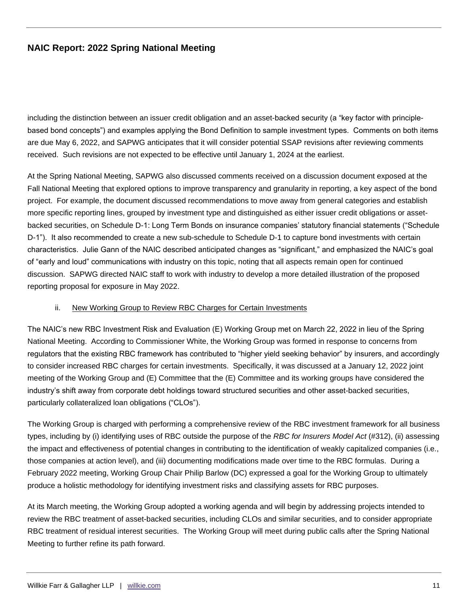including the distinction between an issuer credit obligation and an asset-backed security (a "key factor with principlebased bond concepts") and examples applying the Bond Definition to sample investment types. Comments on both items are due May 6, 2022, and SAPWG anticipates that it will consider potential SSAP revisions after reviewing comments received. Such revisions are not expected to be effective until January 1, 2024 at the earliest.

At the Spring National Meeting, SAPWG also discussed comments received on a discussion document exposed at the Fall National Meeting that explored options to improve transparency and granularity in reporting, a key aspect of the bond project. For example, the document discussed recommendations to move away from general categories and establish more specific reporting lines, grouped by investment type and distinguished as either issuer credit obligations or assetbacked securities, on Schedule D-1: Long Term Bonds on insurance companies' statutory financial statements ("Schedule D-1"). It also recommended to create a new sub-schedule to Schedule D-1 to capture bond investments with certain characteristics. Julie Gann of the NAIC described anticipated changes as "significant," and emphasized the NAIC's goal of "early and loud" communications with industry on this topic, noting that all aspects remain open for continued discussion. SAPWG directed NAIC staff to work with industry to develop a more detailed illustration of the proposed reporting proposal for exposure in May 2022.

#### ii. New Working Group to Review RBC Charges for Certain Investments

<span id="page-10-0"></span>The NAIC's new RBC Investment Risk and Evaluation (E) Working Group met on March 22, 2022 in lieu of the Spring National Meeting. According to Commissioner White, the Working Group was formed in response to concerns from regulators that the existing RBC framework has contributed to "higher yield seeking behavior" by insurers, and accordingly to consider increased RBC charges for certain investments. Specifically, it was discussed at a January 12, 2022 joint meeting of the Working Group and (E) Committee that the (E) Committee and its working groups have considered the industry's shift away from corporate debt holdings toward structured securities and other asset-backed securities, particularly collateralized loan obligations ("CLOs").

The Working Group is charged with performing a comprehensive review of the RBC investment framework for all business types, including by (i) identifying uses of RBC outside the purpose of the *RBC for Insurers Model Act* (#312), (ii) assessing the impact and effectiveness of potential changes in contributing to the identification of weakly capitalized companies (i.e., those companies at action level), and (iii) documenting modifications made over time to the RBC formulas. During a February 2022 meeting, Working Group Chair Philip Barlow (DC) expressed a goal for the Working Group to ultimately produce a holistic methodology for identifying investment risks and classifying assets for RBC purposes.

At its March meeting, the Working Group adopted a working agenda and will begin by addressing projects intended to review the RBC treatment of asset-backed securities, including CLOs and similar securities, and to consider appropriate RBC treatment of residual interest securities. The Working Group will meet during public calls after the Spring National Meeting to further refine its path forward.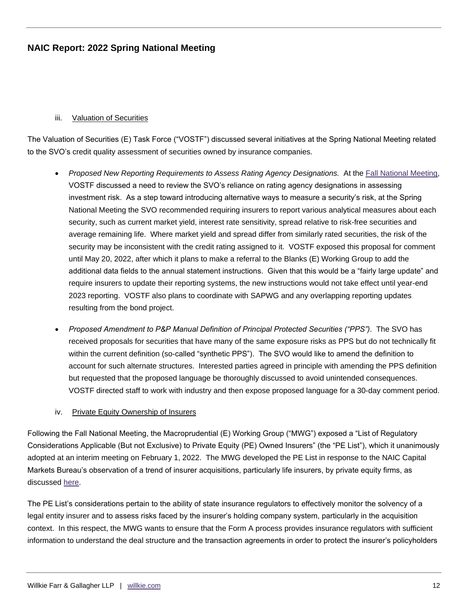#### iii. Valuation of Securities

<span id="page-11-0"></span>The Valuation of Securities (E) Task Force ("VOSTF") discussed several initiatives at the Spring National Meeting related to the SVO's credit quality assessment of securities owned by insurance companies.

- Proposed New Reporting Requirements to Assess Rating Agency Designations. At the [Fall National Meeting,](https://www.willkie.com/-/media/files/publications/2021/12/naic_report_2021_fall_national_meeting.pdf) VOSTF discussed a need to review the SVO's reliance on rating agency designations in assessing investment risk. As a step toward introducing alternative ways to measure a security's risk, at the Spring National Meeting the SVO recommended requiring insurers to report various analytical measures about each security, such as current market yield, interest rate sensitivity, spread relative to risk-free securities and average remaining life. Where market yield and spread differ from similarly rated securities, the risk of the security may be inconsistent with the credit rating assigned to it. VOSTF exposed this proposal for comment until May 20, 2022, after which it plans to make a referral to the Blanks (E) Working Group to add the additional data fields to the annual statement instructions. Given that this would be a "fairly large update" and require insurers to update their reporting systems, the new instructions would not take effect until year-end 2023 reporting. VOSTF also plans to coordinate with SAPWG and any overlapping reporting updates resulting from the bond project.
- *Proposed Amendment to P&P Manual Definition of Principal Protected Securities ("PPS")*. The SVO has received proposals for securities that have many of the same exposure risks as PPS but do not technically fit within the current definition (so-called "synthetic PPS"). The SVO would like to amend the definition to account for such alternate structures. Interested parties agreed in principle with amending the PPS definition but requested that the proposed language be thoroughly discussed to avoid unintended consequences. VOSTF directed staff to work with industry and then expose proposed language for a 30-day comment period.

#### iv. Private Equity Ownership of Insurers

<span id="page-11-1"></span>Following the Fall National Meeting, the Macroprudential (E) Working Group ("MWG") exposed a "List of Regulatory Considerations Applicable (But not Exclusive) to Private Equity (PE) Owned Insurers" (the "PE List"), which it unanimously adopted at an interim meeting on February 1, 2022. The MWG developed the PE List in response to the NAIC Capital Markets Bureau's observation of a trend of insurer acquisitions, particularly life insurers, by private equity firms, as discussed [here.](https://www.willkie.com/-/media/files/publications/2021/12/naic_report_2021_fall_national_meeting.pdf)

The PE List's considerations pertain to the ability of state insurance regulators to effectively monitor the solvency of a legal entity insurer and to assess risks faced by the insurer's holding company system, particularly in the acquisition context. In this respect, the MWG wants to ensure that the Form A process provides insurance regulators with sufficient information to understand the deal structure and the transaction agreements in order to protect the insurer's policyholders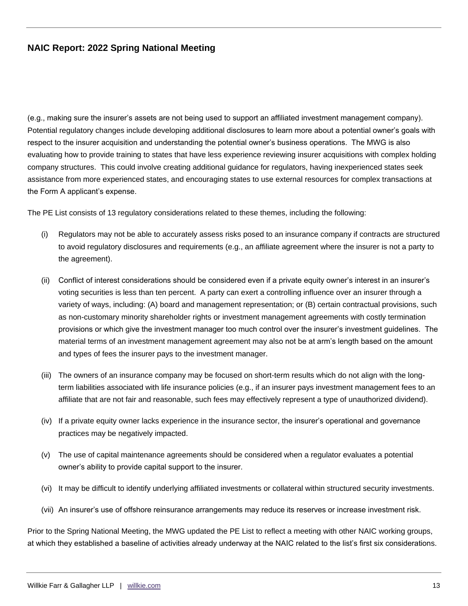(e.g., making sure the insurer's assets are not being used to support an affiliated investment management company). Potential regulatory changes include developing additional disclosures to learn more about a potential owner's goals with respect to the insurer acquisition and understanding the potential owner's business operations. The MWG is also evaluating how to provide training to states that have less experience reviewing insurer acquisitions with complex holding company structures. This could involve creating additional guidance for regulators, having inexperienced states seek assistance from more experienced states, and encouraging states to use external resources for complex transactions at the Form A applicant's expense.

The PE List consists of 13 regulatory considerations related to these themes, including the following:

- (i) Regulators may not be able to accurately assess risks posed to an insurance company if contracts are structured to avoid regulatory disclosures and requirements (e.g., an affiliate agreement where the insurer is not a party to the agreement).
- (ii) Conflict of interest considerations should be considered even if a private equity owner's interest in an insurer's voting securities is less than ten percent. A party can exert a controlling influence over an insurer through a variety of ways, including: (A) board and management representation; or (B) certain contractual provisions, such as non-customary minority shareholder rights or investment management agreements with costly termination provisions or which give the investment manager too much control over the insurer's investment guidelines. The material terms of an investment management agreement may also not be at arm's length based on the amount and types of fees the insurer pays to the investment manager.
- (iii) The owners of an insurance company may be focused on short-term results which do not align with the longterm liabilities associated with life insurance policies (e.g., if an insurer pays investment management fees to an affiliate that are not fair and reasonable, such fees may effectively represent a type of unauthorized dividend).
- (iv) If a private equity owner lacks experience in the insurance sector, the insurer's operational and governance practices may be negatively impacted.
- (v) The use of capital maintenance agreements should be considered when a regulator evaluates a potential owner's ability to provide capital support to the insurer.
- (vi) It may be difficult to identify underlying affiliated investments or collateral within structured security investments.
- (vii) An insurer's use of offshore reinsurance arrangements may reduce its reserves or increase investment risk.

Prior to the Spring National Meeting, the MWG updated the PE List to reflect a meeting with other NAIC working groups, at which they established a baseline of activities already underway at the NAIC related to the list's first six considerations.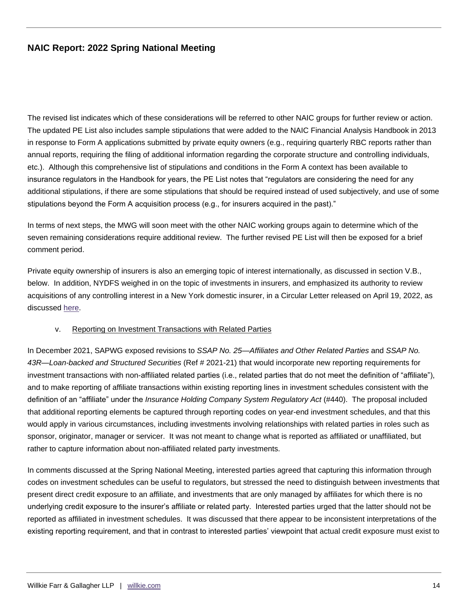The revised list indicates which of these considerations will be referred to other NAIC groups for further review or action. The updated PE List also includes sample stipulations that were added to the NAIC Financial Analysis Handbook in 2013 in response to Form A applications submitted by private equity owners (e.g., requiring quarterly RBC reports rather than annual reports, requiring the filing of additional information regarding the corporate structure and controlling individuals, etc.). Although this comprehensive list of stipulations and conditions in the Form A context has been available to insurance regulators in the Handbook for years, the PE List notes that "regulators are considering the need for any additional stipulations, if there are some stipulations that should be required instead of used subjectively, and use of some stipulations beyond the Form A acquisition process (e.g., for insurers acquired in the past)."

In terms of next steps, the MWG will soon meet with the other NAIC working groups again to determine which of the seven remaining considerations require additional review. The further revised PE List will then be exposed for a brief comment period.

Private equity ownership of insurers is also an emerging topic of interest internationally, as discussed in section V.B., below. In addition, NYDFS weighed in on the topic of investments in insurers, and emphasized its authority to review acquisitions of any controlling interest in a New York domestic insurer, in a Circular Letter released on April 19, 2022, as discussed [here.](https://www.willkie.com/-/media/files/publications/2022/nydfsissuescircularletterrelatedtoinvestmentsinnew.pdf)

#### v. Reporting on Investment Transactions with Related Parties

<span id="page-13-0"></span>In December 2021, SAPWG exposed revisions to *SSAP No. 25—Affiliates and Other Related Parties* and *SSAP No. 43R—Loan-backed and Structured Securities* (Ref # 2021-21) that would incorporate new reporting requirements for investment transactions with non-affiliated related parties (i.e., related parties that do not meet the definition of "affiliate"), and to make reporting of affiliate transactions within existing reporting lines in investment schedules consistent with the definition of an "affiliate" under the *Insurance Holding Company System Regulatory Act* (#440). The proposal included that additional reporting elements be captured through reporting codes on year-end investment schedules, and that this would apply in various circumstances, including investments involving relationships with related parties in roles such as sponsor, originator, manager or servicer. It was not meant to change what is reported as affiliated or unaffiliated, but rather to capture information about non-affiliated related party investments.

In comments discussed at the Spring National Meeting, interested parties agreed that capturing this information through codes on investment schedules can be useful to regulators, but stressed the need to distinguish between investments that present direct credit exposure to an affiliate, and investments that are only managed by affiliates for which there is no underlying credit exposure to the insurer's affiliate or related party. Interested parties urged that the latter should not be reported as affiliated in investment schedules. It was discussed that there appear to be inconsistent interpretations of the existing reporting requirement, and that in contrast to interested parties' viewpoint that actual credit exposure must exist to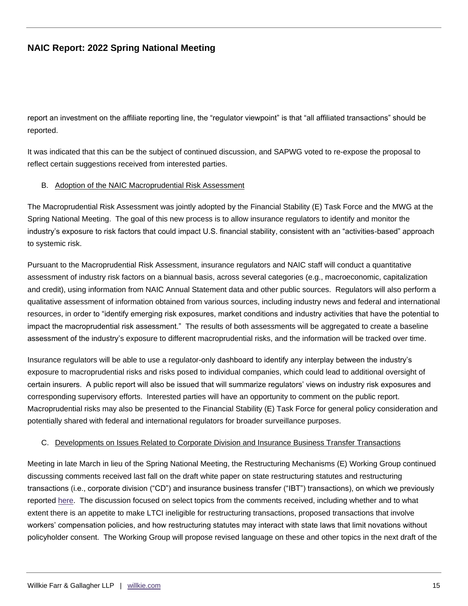report an investment on the affiliate reporting line, the "regulator viewpoint" is that "all affiliated transactions" should be reported.

It was indicated that this can be the subject of continued discussion, and SAPWG voted to re-expose the proposal to reflect certain suggestions received from interested parties.

#### <span id="page-14-0"></span>B. Adoption of the NAIC Macroprudential Risk Assessment

The Macroprudential Risk Assessment was jointly adopted by the Financial Stability (E) Task Force and the MWG at the Spring National Meeting. The goal of this new process is to allow insurance regulators to identify and monitor the industry's exposure to risk factors that could impact U.S. financial stability, consistent with an "activities-based" approach to systemic risk.

Pursuant to the Macroprudential Risk Assessment, insurance regulators and NAIC staff will conduct a quantitative assessment of industry risk factors on a biannual basis, across several categories (e.g., macroeconomic, capitalization and credit), using information from NAIC Annual Statement data and other public sources. Regulators will also perform a qualitative assessment of information obtained from various sources, including industry news and federal and international resources, in order to "identify emerging risk exposures, market conditions and industry activities that have the potential to impact the macroprudential risk assessment." The results of both assessments will be aggregated to create a baseline assessment of the industry's exposure to different macroprudential risks, and the information will be tracked over time.

Insurance regulators will be able to use a regulator-only dashboard to identify any interplay between the industry's exposure to macroprudential risks and risks posed to individual companies, which could lead to additional oversight of certain insurers. A public report will also be issued that will summarize regulators' views on industry risk exposures and corresponding supervisory efforts. Interested parties will have an opportunity to comment on the public report. Macroprudential risks may also be presented to the Financial Stability (E) Task Force for general policy consideration and potentially shared with federal and international regulators for broader surveillance purposes.

#### <span id="page-14-1"></span>C. Developments on Issues Related to Corporate Division and Insurance Business Transfer Transactions

Meeting in late March in lieu of the Spring National Meeting, the Restructuring Mechanisms (E) Working Group continued discussing comments received last fall on the draft white paper on state restructuring statutes and restructuring transactions (i.e., corporate division ("CD") and insurance business transfer ("IBT") transactions), on which we previously reported [here.](https://www.willkie.com/-/media/files/publications/2021/12/naic_report_2021_fall_national_meeting.pdf) The discussion focused on select topics from the comments received, including whether and to what extent there is an appetite to make LTCI ineligible for restructuring transactions, proposed transactions that involve workers' compensation policies, and how restructuring statutes may interact with state laws that limit novations without policyholder consent. The Working Group will propose revised language on these and other topics in the next draft of the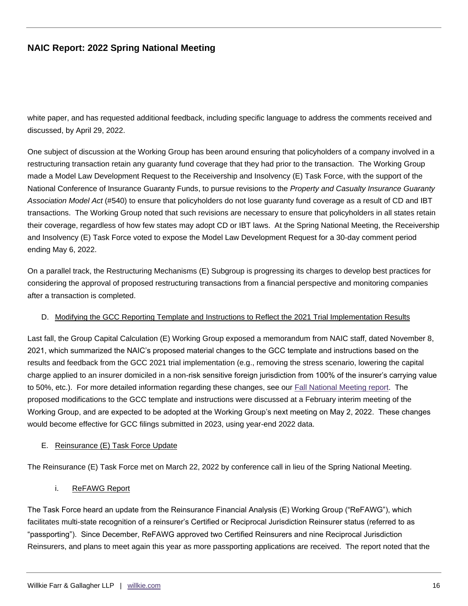white paper, and has requested additional feedback, including specific language to address the comments received and discussed, by April 29, 2022.

One subject of discussion at the Working Group has been around ensuring that policyholders of a company involved in a restructuring transaction retain any guaranty fund coverage that they had prior to the transaction. The Working Group made a Model Law Development Request to the Receivership and Insolvency (E) Task Force, with the support of the National Conference of Insurance Guaranty Funds, to pursue revisions to the *Property and Casualty Insurance Guaranty Association Model Act* (#540) to ensure that policyholders do not lose guaranty fund coverage as a result of CD and IBT transactions. The Working Group noted that such revisions are necessary to ensure that policyholders in all states retain their coverage, regardless of how few states may adopt CD or IBT laws. At the Spring National Meeting, the Receivership and Insolvency (E) Task Force voted to expose the Model Law Development Request for a 30-day comment period ending May 6, 2022.

On a parallel track, the Restructuring Mechanisms (E) Subgroup is progressing its charges to develop best practices for considering the approval of proposed restructuring transactions from a financial perspective and monitoring companies after a transaction is completed.

#### <span id="page-15-0"></span>D. Modifying the GCC Reporting Template and Instructions to Reflect the 2021 Trial Implementation Results

Last fall, the Group Capital Calculation (E) Working Group exposed a memorandum from NAIC staff, dated November 8, 2021, which summarized the NAIC's proposed material changes to the GCC template and instructions based on the results and feedback from the GCC 2021 trial implementation (e.g., removing the stress scenario, lowering the capital charge applied to an insurer domiciled in a non-risk sensitive foreign jurisdiction from 100% of the insurer's carrying value to 50%, etc.). For more detailed information regarding these changes, see our [Fall National Meeting report.](https://www.willkie.com/-/media/files/publications/2021/12/naic_report_2021_fall_national_meeting.pdf) The proposed modifications to the GCC template and instructions were discussed at a February interim meeting of the Working Group, and are expected to be adopted at the Working Group's next meeting on May 2, 2022. These changes would become effective for GCC filings submitted in 2023, using year-end 2022 data.

#### <span id="page-15-1"></span>E. Reinsurance (E) Task Force Update

<span id="page-15-2"></span>The Reinsurance (E) Task Force met on March 22, 2022 by conference call in lieu of the Spring National Meeting.

#### i. ReFAWG Report

The Task Force heard an update from the Reinsurance Financial Analysis (E) Working Group ("ReFAWG"), which facilitates multi-state recognition of a reinsurer's Certified or Reciprocal Jurisdiction Reinsurer status (referred to as "passporting"). Since December, ReFAWG approved two Certified Reinsurers and nine Reciprocal Jurisdiction Reinsurers, and plans to meet again this year as more passporting applications are received. The report noted that the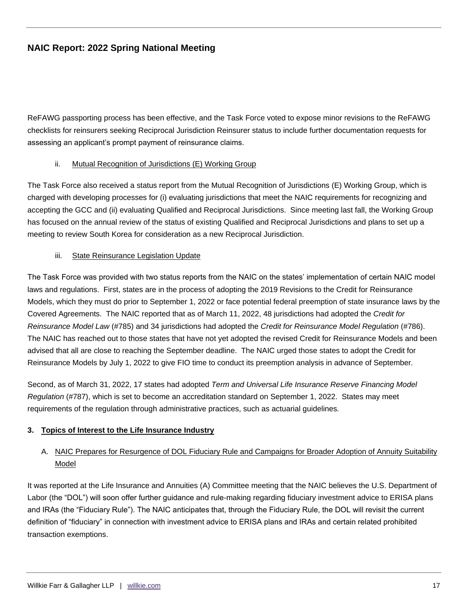ReFAWG passporting process has been effective, and the Task Force voted to expose minor revisions to the ReFAWG checklists for reinsurers seeking Reciprocal Jurisdiction Reinsurer status to include further documentation requests for assessing an applicant's prompt payment of reinsurance claims.

#### ii. Mutual Recognition of Jurisdictions (E) Working Group

<span id="page-16-0"></span>The Task Force also received a status report from the Mutual Recognition of Jurisdictions (E) Working Group, which is charged with developing processes for (i) evaluating jurisdictions that meet the NAIC requirements for recognizing and accepting the GCC and (ii) evaluating Qualified and Reciprocal Jurisdictions. Since meeting last fall, the Working Group has focused on the annual review of the status of existing Qualified and Reciprocal Jurisdictions and plans to set up a meeting to review South Korea for consideration as a new Reciprocal Jurisdiction.

#### iii. State Reinsurance Legislation Update

<span id="page-16-1"></span>The Task Force was provided with two status reports from the NAIC on the states' implementation of certain NAIC model laws and regulations. First, states are in the process of adopting the 2019 Revisions to the Credit for Reinsurance Models, which they must do prior to September 1, 2022 or face potential federal preemption of state insurance laws by the Covered Agreements. The NAIC reported that as of March 11, 2022, 48 jurisdictions had adopted the *Credit for Reinsurance Model Law* (#785) and 34 jurisdictions had adopted the *Credit for Reinsurance Model Regulation* (#786). The NAIC has reached out to those states that have not yet adopted the revised Credit for Reinsurance Models and been advised that all are close to reaching the September deadline. The NAIC urged those states to adopt the Credit for Reinsurance Models by July 1, 2022 to give FIO time to conduct its preemption analysis in advance of September*.*

Second, as of March 31, 2022, 17 states had adopted *Term and Universal Life Insurance Reserve Financing Model Regulation* (#787), which is set to become an accreditation standard on September 1, 2022. States may meet requirements of the regulation through administrative practices, such as actuarial guidelines*.*

#### <span id="page-16-2"></span>**3. Topics of Interest to the Life Insurance Industry**

## <span id="page-16-3"></span>A. NAIC Prepares for Resurgence of DOL Fiduciary Rule and Campaigns for Broader Adoption of Annuity Suitability Model

It was reported at the Life Insurance and Annuities (A) Committee meeting that the NAIC believes the U.S. Department of Labor (the "DOL") will soon offer further guidance and rule-making regarding fiduciary investment advice to ERISA plans and IRAs (the "Fiduciary Rule"). The NAIC anticipates that, through the Fiduciary Rule, the DOL will revisit the current definition of "fiduciary" in connection with investment advice to ERISA plans and IRAs and certain related prohibited transaction exemptions.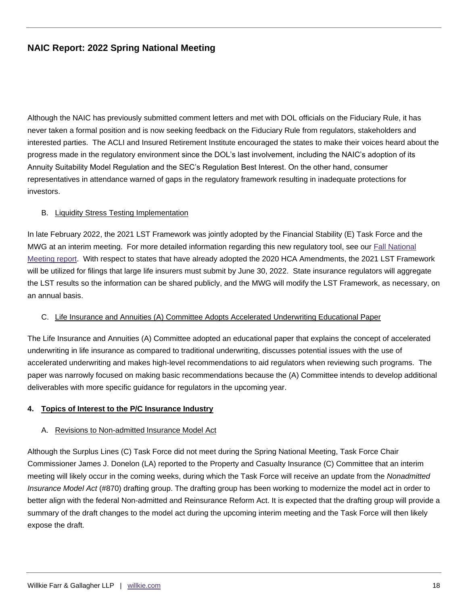Although the NAIC has previously submitted comment letters and met with DOL officials on the Fiduciary Rule, it has never taken a formal position and is now seeking feedback on the Fiduciary Rule from regulators, stakeholders and interested parties. The ACLI and Insured Retirement Institute encouraged the states to make their voices heard about the progress made in the regulatory environment since the DOL's last involvement, including the NAIC's adoption of its Annuity Suitability Model Regulation and the SEC's Regulation Best Interest. On the other hand, consumer representatives in attendance warned of gaps in the regulatory framework resulting in inadequate protections for investors.

#### <span id="page-17-0"></span>B. Liquidity Stress Testing Implementation

In late February 2022, the 2021 LST Framework was jointly adopted by the Financial Stability (E) Task Force and the MWG at an interim meeting. For more detailed information regarding this new regulatory tool, see our [Fall National](https://www.willkie.com/-/media/files/publications/2021/12/naic_report_2021_fall_national_meeting.pdf)  [Meeting report.](https://www.willkie.com/-/media/files/publications/2021/12/naic_report_2021_fall_national_meeting.pdf) With respect to states that have already adopted the 2020 HCA Amendments, the 2021 LST Framework will be utilized for filings that large life insurers must submit by June 30, 2022. State insurance regulators will aggregate the LST results so the information can be shared publicly, and the MWG will modify the LST Framework, as necessary, on an annual basis.

#### <span id="page-17-1"></span>C. Life Insurance and Annuities (A) Committee Adopts Accelerated Underwriting Educational Paper

The Life Insurance and Annuities (A) Committee adopted an educational paper that explains the concept of accelerated underwriting in life insurance as compared to traditional underwriting, discusses potential issues with the use of accelerated underwriting and makes high-level recommendations to aid regulators when reviewing such programs. The paper was narrowly focused on making basic recommendations because the (A) Committee intends to develop additional deliverables with more specific guidance for regulators in the upcoming year.

#### <span id="page-17-2"></span>**4. Topics of Interest to the P/C Insurance Industry**

#### <span id="page-17-3"></span>A. Revisions to Non-admitted Insurance Model Act

Although the Surplus Lines (C) Task Force did not meet during the Spring National Meeting, Task Force Chair Commissioner James J. Donelon (LA) reported to the Property and Casualty Insurance (C) Committee that an interim meeting will likely occur in the coming weeks, during which the Task Force will receive an update from the *Nonadmitted Insurance Model Act* (#870) drafting group. The drafting group has been working to modernize the model act in order to better align with the federal Non-admitted and Reinsurance Reform Act. It is expected that the drafting group will provide a summary of the draft changes to the model act during the upcoming interim meeting and the Task Force will then likely expose the draft.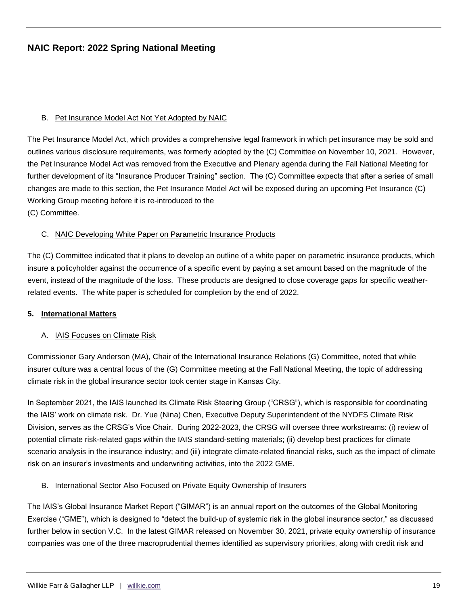#### <span id="page-18-0"></span>B. Pet Insurance Model Act Not Yet Adopted by NAIC

The Pet Insurance Model Act, which provides a comprehensive legal framework in which pet insurance may be sold and outlines various disclosure requirements, was formerly adopted by the (C) Committee on November 10, 2021. However, the Pet Insurance Model Act was removed from the Executive and Plenary agenda during the Fall National Meeting for further development of its "Insurance Producer Training" section. The (C) Committee expects that after a series of small changes are made to this section, the Pet Insurance Model Act will be exposed during an upcoming Pet Insurance (C) Working Group meeting before it is re-introduced to the

(C) Committee.

#### <span id="page-18-1"></span>C. NAIC Developing White Paper on Parametric Insurance Products

The (C) Committee indicated that it plans to develop an outline of a white paper on parametric insurance products, which insure a policyholder against the occurrence of a specific event by paying a set amount based on the magnitude of the event, instead of the magnitude of the loss. These products are designed to close coverage gaps for specific weatherrelated events. The white paper is scheduled for completion by the end of 2022.

#### <span id="page-18-2"></span>**5. International Matters**

#### <span id="page-18-3"></span>A. IAIS Focuses on Climate Risk

Commissioner Gary Anderson (MA), Chair of the International Insurance Relations (G) Committee, noted that while insurer culture was a central focus of the (G) Committee meeting at the Fall National Meeting, the topic of addressing climate risk in the global insurance sector took center stage in Kansas City.

In September 2021, the IAIS launched its Climate Risk Steering Group ("CRSG"), which is responsible for coordinating the IAIS' work on climate risk. Dr. Yue (Nina) Chen, Executive Deputy Superintendent of the NYDFS Climate Risk Division, serves as the CRSG's Vice Chair. During 2022-2023, the CRSG will oversee three workstreams: (i) review of potential climate risk-related gaps within the IAIS standard-setting materials; (ii) develop best practices for climate scenario analysis in the insurance industry; and (iii) integrate climate-related financial risks, such as the impact of climate risk on an insurer's investments and underwriting activities, into the 2022 GME.

#### <span id="page-18-4"></span>B. International Sector Also Focused on Private Equity Ownership of Insurers

The IAIS's Global Insurance Market Report ("GIMAR") is an annual report on the outcomes of the Global Monitoring Exercise ("GME"), which is designed to "detect the build-up of systemic risk in the global insurance sector," as discussed further below in section V.C. In the latest GIMAR released on November 30, 2021, private equity ownership of insurance companies was one of the three macroprudential themes identified as supervisory priorities, along with credit risk and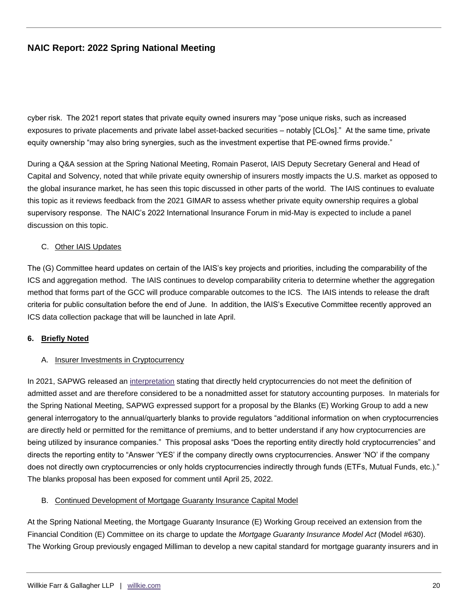cyber risk. The 2021 report states that private equity owned insurers may "pose unique risks, such as increased exposures to private placements and private label asset-backed securities – notably [CLOs]." At the same time, private equity ownership "may also bring synergies, such as the investment expertise that PE-owned firms provide."

During a Q&A session at the Spring National Meeting, Romain Paserot, IAIS Deputy Secretary General and Head of Capital and Solvency, noted that while private equity ownership of insurers mostly impacts the U.S. market as opposed to the global insurance market, he has seen this topic discussed in other parts of the world. The IAIS continues to evaluate this topic as it reviews feedback from the 2021 GIMAR to assess whether private equity ownership requires a global supervisory response. The NAIC's 2022 International Insurance Forum in mid-May is expected to include a panel discussion on this topic.

#### <span id="page-19-0"></span>C. Other IAIS Updates

The (G) Committee heard updates on certain of the IAIS's key projects and priorities, including the comparability of the ICS and aggregation method. The IAIS continues to develop comparability criteria to determine whether the aggregation method that forms part of the GCC will produce comparable outcomes to the ICS. The IAIS intends to release the draft criteria for public consultation before the end of June. In addition, the IAIS's Executive Committee recently approved an ICS data collection package that will be launched in late April.

#### <span id="page-19-1"></span>**6. Briefly Noted**

#### <span id="page-19-2"></span>A. Insurer Investments in Cryptocurrency

In 2021, SAPWG released an [interpretation](https://content.naic.org/sites/default/files/inline-files/INT%2021-01_2021-05.pdf) stating that directly held cryptocurrencies do not meet the definition of admitted asset and are therefore considered to be a nonadmitted asset for statutory accounting purposes. In materials for the Spring National Meeting, SAPWG expressed support for a proposal by the Blanks (E) Working Group to add a new general interrogatory to the annual/quarterly blanks to provide regulators "additional information on when cryptocurrencies are directly held or permitted for the remittance of premiums, and to better understand if any how cryptocurrencies are being utilized by insurance companies." This proposal asks "Does the reporting entity directly hold cryptocurrencies" and directs the reporting entity to "Answer 'YES' if the company directly owns cryptocurrencies. Answer 'NO' if the company does not directly own cryptocurrencies or only holds cryptocurrencies indirectly through funds (ETFs, Mutual Funds, etc.)." The blanks proposal has been exposed for comment until April 25, 2022.

#### <span id="page-19-3"></span>B. Continued Development of Mortgage Guaranty Insurance Capital Model

At the Spring National Meeting, the Mortgage Guaranty Insurance (E) Working Group received an extension from the Financial Condition (E) Committee on its charge to update the *Mortgage Guaranty Insurance Model Act* (Model #630). The Working Group previously engaged Milliman to develop a new capital standard for mortgage guaranty insurers and in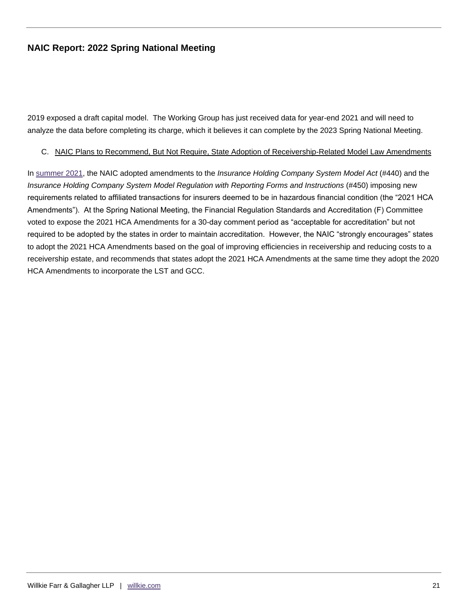2019 exposed a draft capital model. The Working Group has just received data for year-end 2021 and will need to analyze the data before completing its charge, which it believes it can complete by the 2023 Spring National Meeting.

#### <span id="page-20-0"></span>C. NAIC Plans to Recommend, But Not Require, State Adoption of Receivership-Related Model Law Amendments

In [summer 2021,](https://www.willkie.com/-/media/files/publications/2021/08/naic_report_2021_summer_national_meeting.pdf) the NAIC adopted amendments to the *Insurance Holding Company System Model Act* (#440) and the *Insurance Holding Company System Model Regulation with Reporting Forms and Instructions* (#450) imposing new requirements related to affiliated transactions for insurers deemed to be in hazardous financial condition (the "2021 HCA Amendments"). At the Spring National Meeting, the Financial Regulation Standards and Accreditation (F) Committee voted to expose the 2021 HCA Amendments for a 30-day comment period as "acceptable for accreditation" but not required to be adopted by the states in order to maintain accreditation. However, the NAIC "strongly encourages" states to adopt the 2021 HCA Amendments based on the goal of improving efficiencies in receivership and reducing costs to a receivership estate, and recommends that states adopt the 2021 HCA Amendments at the same time they adopt the 2020 HCA Amendments to incorporate the LST and GCC.